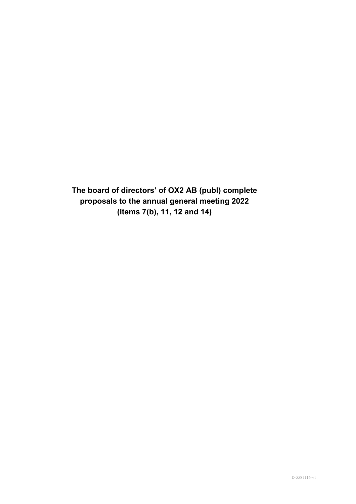**The board of directors' of OX2 AB (publ) complete proposals to the annual general meeting 2022 (items 7(b), 11, 12 and 14)**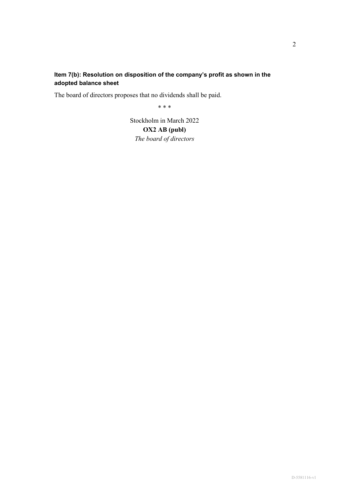# **Item 7(b): Resolution on disposition of the company's profit as shown in the adopted balance sheet**

The board of directors proposes that no dividends shall be paid.

\* \* \*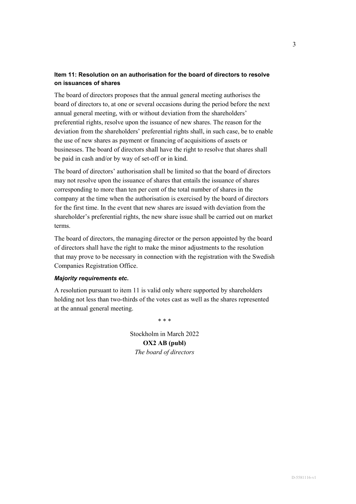## **Item 11: Resolution on an authorisation for the board of directors to resolve on issuances of shares**

The board of directors proposes that the annual general meeting authorises the board of directors to, at one or several occasions during the period before the next annual general meeting, with or without deviation from the shareholders' preferential rights, resolve upon the issuance of new shares. The reason for the deviation from the shareholders' preferential rights shall, in such case, be to enable the use of new shares as payment or financing of acquisitions of assets or businesses. The board of directors shall have the right to resolve that shares shall be paid in cash and/or by way of set-off or in kind.

The board of directors' authorisation shall be limited so that the board of directors may not resolve upon the issuance of shares that entails the issuance of shares corresponding to more than ten per cent of the total number of shares in the company at the time when the authorisation is exercised by the board of directors for the first time. In the event that new shares are issued with deviation from the shareholder's preferential rights, the new share issue shall be carried out on market terms.

The board of directors, the managing director or the person appointed by the board of directors shall have the right to make the minor adjustments to the resolution that may prove to be necessary in connection with the registration with the Swedish Companies Registration Office.

### *Majority requirements etc.*

A resolution pursuant to item 11 is valid only where supported by shareholders holding not less than two-thirds of the votes cast as well as the shares represented at the annual general meeting.

\* \* \*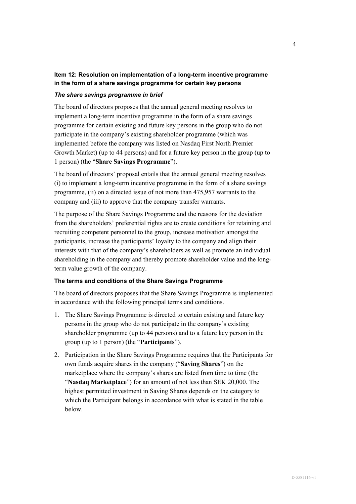## **Item 12: Resolution on implementation of a long-term incentive programme in the form of a share savings programme for certain key persons**

### *The share savings programme in brief*

The board of directors proposes that the annual general meeting resolves to implement a long-term incentive programme in the form of a share savings programme for certain existing and future key persons in the group who do not participate in the company's existing shareholder programme (which was implemented before the company was listed on Nasdaq First North Premier Growth Market) (up to 44 persons) and for a future key person in the group (up to 1 person) (the "**Share Savings Programme**").

The board of directors' proposal entails that the annual general meeting resolves (i) to implement a long-term incentive programme in the form of a share savings programme, (ii) on a directed issue of not more than 475,957 warrants to the company and (iii) to approve that the company transfer warrants.

The purpose of the Share Savings Programme and the reasons for the deviation from the shareholders' preferential rights are to create conditions for retaining and recruiting competent personnel to the group, increase motivation amongst the participants, increase the participants' loyalty to the company and align their interests with that of the company's shareholders as well as promote an individual shareholding in the company and thereby promote shareholder value and the longterm value growth of the company.

### **The terms and conditions of the Share Savings Programme**

The board of directors proposes that the Share Savings Programme is implemented in accordance with the following principal terms and conditions.

- 1. The Share Savings Programme is directed to certain existing and future key persons in the group who do not participate in the company's existing shareholder programme (up to 44 persons) and to a future key person in the group (up to 1 person) (the "**Participants**").
- 2. Participation in the Share Savings Programme requires that the Participants for own funds acquire shares in the company ("**Saving Shares**") on the marketplace where the company's shares are listed from time to time (the "**Nasdaq Marketplace**") for an amount of not less than SEK 20,000. The highest permitted investment in Saving Shares depends on the category to which the Participant belongs in accordance with what is stated in the table below.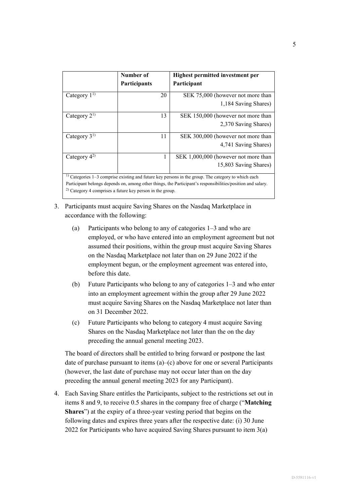|                  | Number of<br>Participants                                      | Highest permitted investment per<br>Participant                                                                                                                                                                      |  |
|------------------|----------------------------------------------------------------|----------------------------------------------------------------------------------------------------------------------------------------------------------------------------------------------------------------------|--|
| Category $1^{1}$ | 20                                                             | SEK 75,000 (however not more than<br>1,184 Saving Shares)                                                                                                                                                            |  |
| Category $2^{1}$ | 13                                                             | SEK 150,000 (however not more than<br>2,370 Saving Shares)                                                                                                                                                           |  |
| Category $3^{1}$ | 11                                                             | SEK 300,000 (however not more than<br>4,741 Saving Shares)                                                                                                                                                           |  |
| Category $4^{2}$ | 1                                                              | SEK 1,000,000 (however not more than<br>15,803 Saving Shares)                                                                                                                                                        |  |
|                  | $^{2)}$ Category 4 comprises a future key person in the group. | $1)$ Categories 1–3 comprise existing and future key persons in the group. The category to which each<br>Participant belongs depends on, among other things, the Participant's responsibilities/position and salary. |  |

3. Participants must acquire Saving Shares on the Nasdaq Marketplace in accordance with the following:

- (a) Participants who belong to any of categories 1–3 and who are employed, or who have entered into an employment agreement but not assumed their positions, within the group must acquire Saving Shares on the Nasdaq Marketplace not later than on 29 June 2022 if the employment begun, or the employment agreement was entered into, before this date.
- (b) Future Participants who belong to any of categories 1–3 and who enter into an employment agreement within the group after 29 June 2022 must acquire Saving Shares on the Nasdaq Marketplace not later than on 31 December 2022.
- (c) Future Participants who belong to category 4 must acquire Saving Shares on the Nasdaq Marketplace not later than the on the day preceding the annual general meeting 2023.

The board of directors shall be entitled to bring forward or postpone the last date of purchase pursuant to items  $(a)$ –(c) above for one or several Participants (however, the last date of purchase may not occur later than on the day preceding the annual general meeting 2023 for any Participant).

4. Each Saving Share entitles the Participants, subject to the restrictions set out in items 8 and 9, to receive 0.5 shares in the company free of charge ("**Matching Shares**") at the expiry of a three-year vesting period that begins on the following dates and expires three years after the respective date: (i) 30 June 2022 for Participants who have acquired Saving Shares pursuant to item 3(a)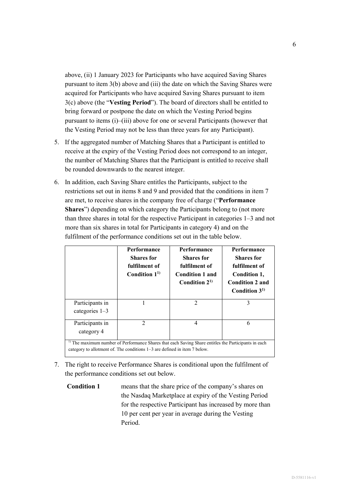above, (ii) 1 January 2023 for Participants who have acquired Saving Shares pursuant to item 3(b) above and (iii) the date on which the Saving Shares were acquired for Participants who have acquired Saving Shares pursuant to item 3(c) above (the "**Vesting Period**"). The board of directors shall be entitled to bring forward or postpone the date on which the Vesting Period begins pursuant to items (i)–(iii) above for one or several Participants (however that the Vesting Period may not be less than three years for any Participant).

- 5. If the aggregated number of Matching Shares that a Participant is entitled to receive at the expiry of the Vesting Period does not correspond to an integer, the number of Matching Shares that the Participant is entitled to receive shall be rounded downwards to the nearest integer.
- 6. In addition, each Saving Share entitles the Participants, subject to the restrictions set out in items 8 and 9 and provided that the conditions in item 7 are met, to receive shares in the company free of charge ("**Performance Shares**") depending on which category the Participants belong to (not more than three shares in total for the respective Participant in categories 1–3 and not more than six shares in total for Participants in category 4) and on the fulfilment of the performance conditions set out in the table below.

|                                                                                                                                                                                              | Performance<br><b>Shares</b> for<br>fulfilment of<br>Condition $11$ | <b>Performance</b><br><b>Shares</b> for<br>fulfilment of<br><b>Condition 1 and</b><br>Condition $21$ | Performance<br><b>Shares</b> for<br>fulfilment of<br>Condition 1,<br><b>Condition 2 and</b><br>Condition $31$ |  |
|----------------------------------------------------------------------------------------------------------------------------------------------------------------------------------------------|---------------------------------------------------------------------|------------------------------------------------------------------------------------------------------|---------------------------------------------------------------------------------------------------------------|--|
| Participants in<br>categories $1-3$                                                                                                                                                          |                                                                     | $\mathcal{D}_{\mathcal{A}}$                                                                          | 3                                                                                                             |  |
| Participants in<br>category 4                                                                                                                                                                | 2                                                                   | 4                                                                                                    | 6                                                                                                             |  |
| <sup>1)</sup> The maximum number of Performance Shares that each Saving Share entitles the Participants in each<br>category to allotment of. The conditions 1–3 are defined in item 7 below. |                                                                     |                                                                                                      |                                                                                                               |  |

- 7. The right to receive Performance Shares is conditional upon the fulfilment of the performance conditions set out below.
	- **Condition 1** means that the share price of the company's shares on the Nasdaq Marketplace at expiry of the Vesting Period for the respective Participant has increased by more than 10 per cent per year in average during the Vesting Period.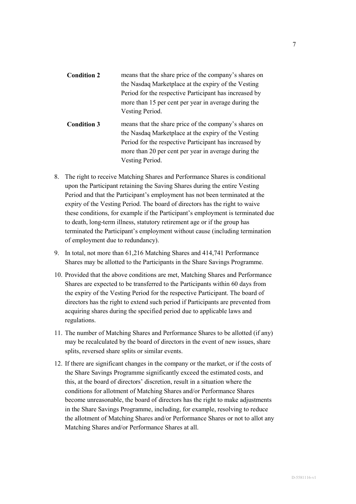- **Condition 2** means that the share price of the company's shares on the Nasdaq Marketplace at the expiry of the Vesting Period for the respective Participant has increased by more than 15 per cent per year in average during the Vesting Period.
- **Condition 3** means that the share price of the company's shares on the Nasdaq Marketplace at the expiry of the Vesting Period for the respective Participant has increased by more than 20 per cent per year in average during the Vesting Period.
- 8. The right to receive Matching Shares and Performance Shares is conditional upon the Participant retaining the Saving Shares during the entire Vesting Period and that the Participant's employment has not been terminated at the expiry of the Vesting Period. The board of directors has the right to waive these conditions, for example if the Participant's employment is terminated due to death, long-term illness, statutory retirement age or if the group has terminated the Participant's employment without cause (including termination of employment due to redundancy).
- 9. In total, not more than 61,216 Matching Shares and 414,741 Performance Shares may be allotted to the Participants in the Share Savings Programme.
- 10. Provided that the above conditions are met, Matching Shares and Performance Shares are expected to be transferred to the Participants within 60 days from the expiry of the Vesting Period for the respective Participant. The board of directors has the right to extend such period if Participants are prevented from acquiring shares during the specified period due to applicable laws and regulations.
- 11. The number of Matching Shares and Performance Shares to be allotted (if any) may be recalculated by the board of directors in the event of new issues, share splits, reversed share splits or similar events.
- 12. If there are significant changes in the company or the market, or if the costs of the Share Savings Programme significantly exceed the estimated costs, and this, at the board of directors' discretion, result in a situation where the conditions for allotment of Matching Shares and/or Performance Shares become unreasonable, the board of directors has the right to make adjustments in the Share Savings Programme, including, for example, resolving to reduce the allotment of Matching Shares and/or Performance Shares or not to allot any Matching Shares and/or Performance Shares at all.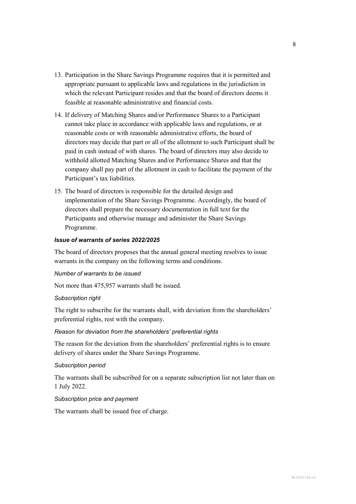- 13. Participation in the Share Savings Programme requires that it is permitted and appropriate pursuant to applicable laws and regulations in the jurisdiction in which the relevant Participant resides and that the board of directors deems it feasible at reasonable administrative and financial costs.
- 14. If delivery of Matching Shares and/or Performance Shares to a Participant cannot take place in accordance with applicable laws and regulations, or at reasonable costs or with reasonable administrative efforts, the board of directors may decide that part or all of the allotment to such Participant shall be paid in cash instead of with shares. The board of directors may also decide to withhold allotted Matching Shares and/or Performance Shares and that the company shall pay part of the allotment in cash to facilitate the payment of the Participant's tax liabilities.
- 15. The board of directors is responsible for the detailed design and implementation of the Share Savings Programme. Accordingly, the board of directors shall prepare the necessary documentation in full text for the Participants and otherwise manage and administer the Share Savings Programme.

### *Issue of warrants of series 2022/2025*

The board of directors proposes that the annual general meeting resolves to issue warrants in the company on the following terms and conditions.

#### *Number of warrants to be issued*

Not more than 475,957 warrants shall be issued.

#### *Subscription right*

The right to subscribe for the warrants shall, with deviation from the shareholders' preferential rights, rest with the company.

### *Reason for deviation from the shareholders' preferential rights*

The reason for the deviation from the shareholders' preferential rights is to ensure delivery of shares under the Share Savings Programme.

#### *Subscription period*

The warrants shall be subscribed for on a separate subscription list not later than on 1 July 2022.

#### *Subscription price and payment*

The warrants shall be issued free of charge.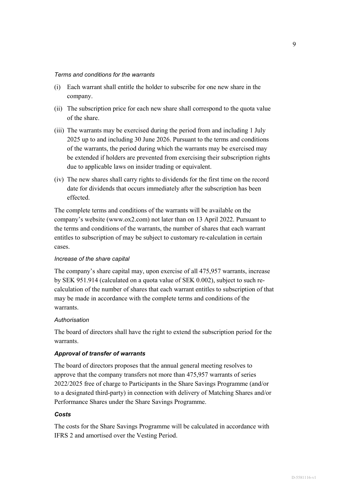#### *Terms and conditions for the warrants*

- (i) Each warrant shall entitle the holder to subscribe for one new share in the company.
- (ii) The subscription price for each new share shall correspond to the quota value of the share.
- (iii) The warrants may be exercised during the period from and including 1 July 2025 up to and including 30 June 2026. Pursuant to the terms and conditions of the warrants, the period during which the warrants may be exercised may be extended if holders are prevented from exercising their subscription rights due to applicable laws on insider trading or equivalent.
- (iv) The new shares shall carry rights to dividends for the first time on the record date for dividends that occurs immediately after the subscription has been effected.

The complete terms and conditions of the warrants will be available on the company's website (www.ox2.com) not later than on 13 April 2022. Pursuant to the terms and conditions of the warrants, the number of shares that each warrant entitles to subscription of may be subject to customary re-calculation in certain cases.

### *Increase of the share capital*

The company's share capital may, upon exercise of all 475,957 warrants, increase by SEK 951.914 (calculated on a quota value of SEK 0.002), subject to such recalculation of the number of shares that each warrant entitles to subscription of that may be made in accordance with the complete terms and conditions of the warrants.

#### *Authorisation*

The board of directors shall have the right to extend the subscription period for the warrants.

#### *Approval of transfer of warrants*

The board of directors proposes that the annual general meeting resolves to approve that the company transfers not more than 475,957 warrants of series 2022/2025 free of charge to Participants in the Share Savings Programme (and/or to a designated third-party) in connection with delivery of Matching Shares and/or Performance Shares under the Share Savings Programme.

#### *Costs*

The costs for the Share Savings Programme will be calculated in accordance with IFRS 2 and amortised over the Vesting Period.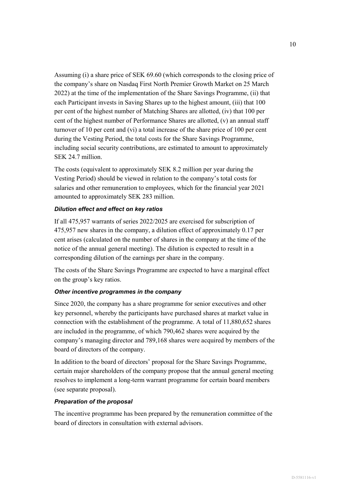Assuming (i) a share price of SEK 69.60 (which corresponds to the closing price of the company's share on Nasdaq First North Premier Growth Market on 25 March 2022) at the time of the implementation of the Share Savings Programme, (ii) that each Participant invests in Saving Shares up to the highest amount, (iii) that 100 per cent of the highest number of Matching Shares are allotted, (iv) that 100 per cent of the highest number of Performance Shares are allotted, (v) an annual staff turnover of 10 per cent and (vi) a total increase of the share price of 100 per cent during the Vesting Period, the total costs for the Share Savings Programme, including social security contributions, are estimated to amount to approximately SEK 24.7 million.

The costs (equivalent to approximately SEK 8.2 million per year during the Vesting Period) should be viewed in relation to the company's total costs for salaries and other remuneration to employees, which for the financial year 2021 amounted to approximately SEK 283 million.

### *Dilution effect and effect on key ratios*

If all 475,957 warrants of series 2022/2025 are exercised for subscription of 475,957 new shares in the company, a dilution effect of approximately 0.17 per cent arises (calculated on the number of shares in the company at the time of the notice of the annual general meeting). The dilution is expected to result in a corresponding dilution of the earnings per share in the company.

The costs of the Share Savings Programme are expected to have a marginal effect on the group's key ratios.

### *Other incentive programmes in the company*

Since 2020, the company has a share programme for senior executives and other key personnel, whereby the participants have purchased shares at market value in connection with the establishment of the programme. A total of 11,880,652 shares are included in the programme, of which 790,462 shares were acquired by the company's managing director and 789,168 shares were acquired by members of the board of directors of the company.

In addition to the board of directors' proposal for the Share Savings Programme, certain major shareholders of the company propose that the annual general meeting resolves to implement a long-term warrant programme for certain board members (see separate proposal).

#### *Preparation of the proposal*

The incentive programme has been prepared by the remuneration committee of the board of directors in consultation with external advisors.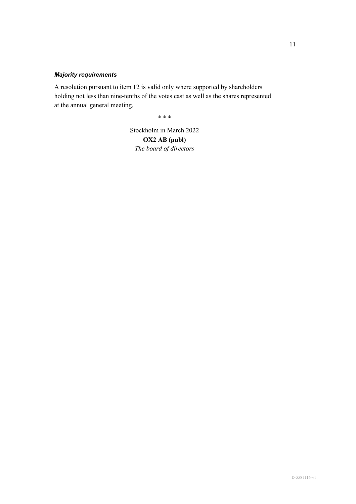# *Majority requirements*

A resolution pursuant to item 12 is valid only where supported by shareholders holding not less than nine-tenths of the votes cast as well as the shares represented at the annual general meeting.

\* \* \*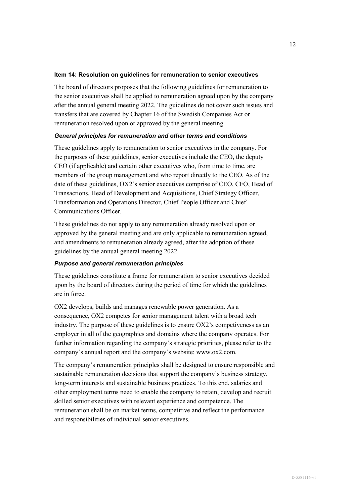#### **Item 14: Resolution on guidelines for remuneration to senior executives**

The board of directors proposes that the following guidelines for remuneration to the senior executives shall be applied to remuneration agreed upon by the company after the annual general meeting 2022. The guidelines do not cover such issues and transfers that are covered by Chapter 16 of the Swedish Companies Act or remuneration resolved upon or approved by the general meeting.

### *General principles for remuneration and other terms and conditions*

These guidelines apply to remuneration to senior executives in the company. For the purposes of these guidelines, senior executives include the CEO, the deputy CEO (if applicable) and certain other executives who, from time to time, are members of the group management and who report directly to the CEO. As of the date of these guidelines, OX2's senior executives comprise of CEO, CFO, Head of Transactions, Head of Development and Acquisitions, Chief Strategy Officer, Transformation and Operations Director, Chief People Officer and Chief Communications Officer.

These guidelines do not apply to any remuneration already resolved upon or approved by the general meeting and are only applicable to remuneration agreed, and amendments to remuneration already agreed, after the adoption of these guidelines by the annual general meeting 2022.

### *Purpose and general remuneration principles*

These guidelines constitute a frame for remuneration to senior executives decided upon by the board of directors during the period of time for which the guidelines are in force.

OX2 develops, builds and manages renewable power generation. As a consequence, OX2 competes for senior management talent with a broad tech industry. The purpose of these guidelines is to ensure OX2's competiveness as an employer in all of the geographies and domains where the company operates. For further information regarding the company's strategic priorities, please refer to the company's annual report and the company's website: www.ox2.com.

The company's remuneration principles shall be designed to ensure responsible and sustainable remuneration decisions that support the company's business strategy, long-term interests and sustainable business practices. To this end, salaries and other employment terms need to enable the company to retain, develop and recruit skilled senior executives with relevant experience and competence. The remuneration shall be on market terms, competitive and reflect the performance and responsibilities of individual senior executives.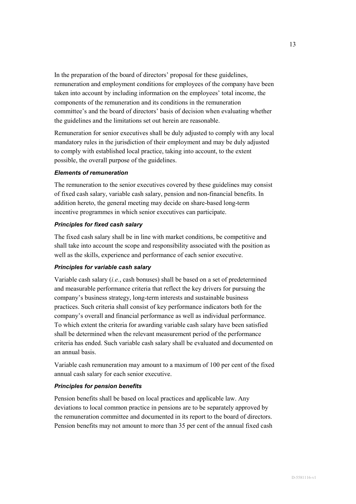In the preparation of the board of directors' proposal for these guidelines, remuneration and employment conditions for employees of the company have been taken into account by including information on the employees' total income, the components of the remuneration and its conditions in the remuneration committee's and the board of directors' basis of decision when evaluating whether the guidelines and the limitations set out herein are reasonable.

Remuneration for senior executives shall be duly adjusted to comply with any local mandatory rules in the jurisdiction of their employment and may be duly adjusted to comply with established local practice, taking into account, to the extent possible, the overall purpose of the guidelines.

### *Elements of remuneration*

The remuneration to the senior executives covered by these guidelines may consist of fixed cash salary, variable cash salary, pension and non-financial benefits. In addition hereto, the general meeting may decide on share-based long-term incentive programmes in which senior executives can participate.

### *Principles for fixed cash salary*

The fixed cash salary shall be in line with market conditions, be competitive and shall take into account the scope and responsibility associated with the position as well as the skills, experience and performance of each senior executive.

#### *Principles for variable cash salary*

Variable cash salary (*i.e.*, cash bonuses) shall be based on a set of predetermined and measurable performance criteria that reflect the key drivers for pursuing the company's business strategy, long-term interests and sustainable business practices. Such criteria shall consist of key performance indicators both for the company's overall and financial performance as well as individual performance. To which extent the criteria for awarding variable cash salary have been satisfied shall be determined when the relevant measurement period of the performance criteria has ended. Such variable cash salary shall be evaluated and documented on an annual basis.

Variable cash remuneration may amount to a maximum of 100 per cent of the fixed annual cash salary for each senior executive.

#### *Principles for pension benefits*

Pension benefits shall be based on local practices and applicable law. Any deviations to local common practice in pensions are to be separately approved by the remuneration committee and documented in its report to the board of directors. Pension benefits may not amount to more than 35 per cent of the annual fixed cash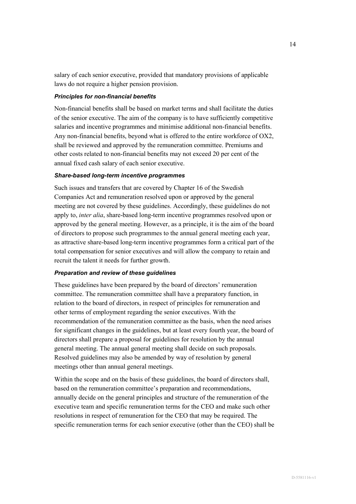salary of each senior executive, provided that mandatory provisions of applicable laws do not require a higher pension provision.

### *Principles for non-financial benefits*

Non-financial benefits shall be based on market terms and shall facilitate the duties of the senior executive. The aim of the company is to have sufficiently competitive salaries and incentive programmes and minimise additional non-financial benefits. Any non-financial benefits, beyond what is offered to the entire workforce of OX2, shall be reviewed and approved by the remuneration committee. Premiums and other costs related to non-financial benefits may not exceed 20 per cent of the annual fixed cash salary of each senior executive.

### *Share-based long-term incentive programmes*

Such issues and transfers that are covered by Chapter 16 of the Swedish Companies Act and remuneration resolved upon or approved by the general meeting are not covered by these guidelines. Accordingly, these guidelines do not apply to, *inter alia*, share-based long-term incentive programmes resolved upon or approved by the general meeting. However, as a principle, it is the aim of the board of directors to propose such programmes to the annual general meeting each year, as attractive share-based long-term incentive programmes form a critical part of the total compensation for senior executives and will allow the company to retain and recruit the talent it needs for further growth.

### *Preparation and review of these guidelines*

These guidelines have been prepared by the board of directors' remuneration committee. The remuneration committee shall have a preparatory function, in relation to the board of directors, in respect of principles for remuneration and other terms of employment regarding the senior executives. With the recommendation of the remuneration committee as the basis, when the need arises for significant changes in the guidelines, but at least every fourth year, the board of directors shall prepare a proposal for guidelines for resolution by the annual general meeting. The annual general meeting shall decide on such proposals. Resolved guidelines may also be amended by way of resolution by general meetings other than annual general meetings.

Within the scope and on the basis of these guidelines, the board of directors shall, based on the remuneration committee's preparation and recommendations, annually decide on the general principles and structure of the remuneration of the executive team and specific remuneration terms for the CEO and make such other resolutions in respect of remuneration for the CEO that may be required. The specific remuneration terms for each senior executive (other than the CEO) shall be